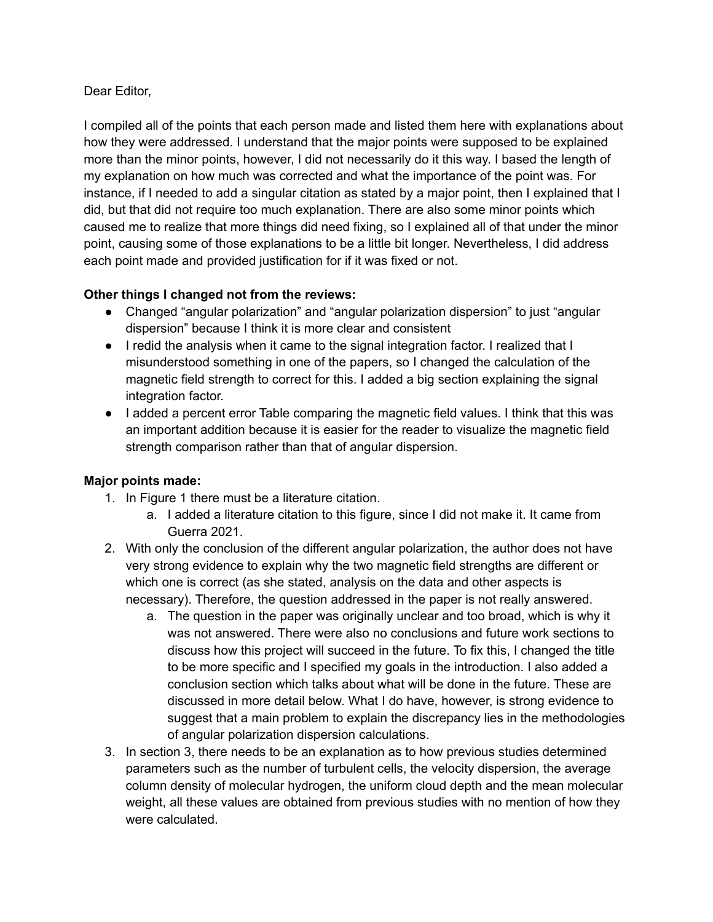## Dear Editor,

I compiled all of the points that each person made and listed them here with explanations about how they were addressed. I understand that the major points were supposed to be explained more than the minor points, however, I did not necessarily do it this way. I based the length of my explanation on how much was corrected and what the importance of the point was. For instance, if I needed to add a singular citation as stated by a major point, then I explained that I did, but that did not require too much explanation. There are also some minor points which caused me to realize that more things did need fixing, so I explained all of that under the minor point, causing some of those explanations to be a little bit longer. Nevertheless, I did address each point made and provided justification for if it was fixed or not.

## **Other things I changed not from the reviews:**

- Changed "angular polarization" and "angular polarization dispersion" to just "angular dispersion" because I think it is more clear and consistent
- I redid the analysis when it came to the signal integration factor. I realized that I misunderstood something in one of the papers, so I changed the calculation of the magnetic field strength to correct for this. I added a big section explaining the signal integration factor.
- I added a percent error Table comparing the magnetic field values. I think that this was an important addition because it is easier for the reader to visualize the magnetic field strength comparison rather than that of angular dispersion.

## **Major points made:**

- 1. In Figure 1 there must be a literature citation.
	- a. I added a literature citation to this figure, since I did not make it. It came from Guerra 2021.
- 2. With only the conclusion of the different angular polarization, the author does not have very strong evidence to explain why the two magnetic field strengths are different or which one is correct (as she stated, analysis on the data and other aspects is necessary). Therefore, the question addressed in the paper is not really answered.
	- a. The question in the paper was originally unclear and too broad, which is why it was not answered. There were also no conclusions and future work sections to discuss how this project will succeed in the future. To fix this, I changed the title to be more specific and I specified my goals in the introduction. I also added a conclusion section which talks about what will be done in the future. These are discussed in more detail below. What I do have, however, is strong evidence to suggest that a main problem to explain the discrepancy lies in the methodologies of angular polarization dispersion calculations.
- 3. In section 3, there needs to be an explanation as to how previous studies determined parameters such as the number of turbulent cells, the velocity dispersion, the average column density of molecular hydrogen, the uniform cloud depth and the mean molecular weight, all these values are obtained from previous studies with no mention of how they were calculated.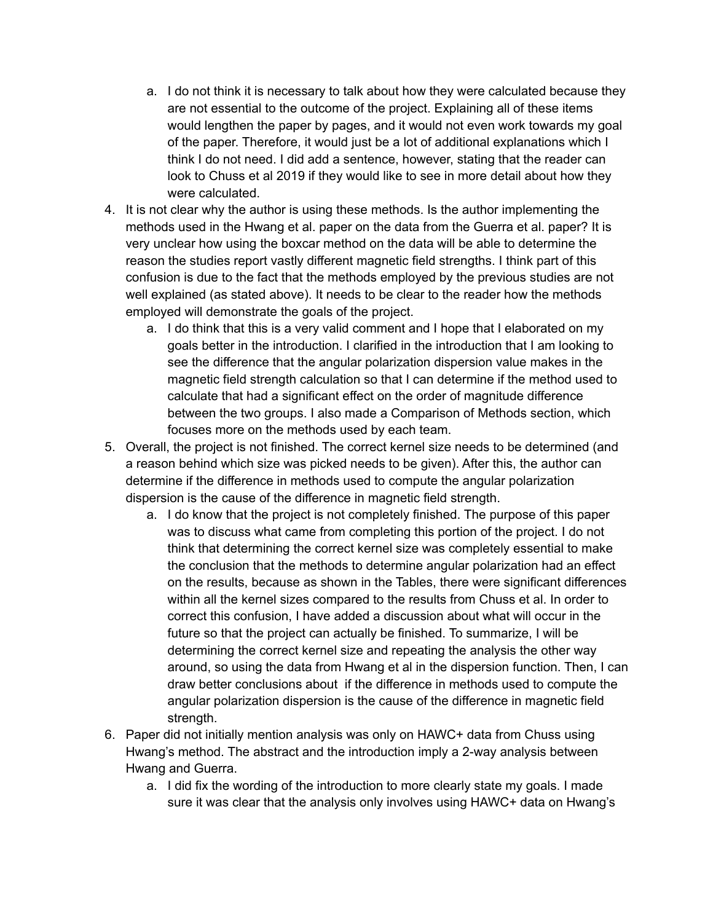- a. I do not think it is necessary to talk about how they were calculated because they are not essential to the outcome of the project. Explaining all of these items would lengthen the paper by pages, and it would not even work towards my goal of the paper. Therefore, it would just be a lot of additional explanations which I think I do not need. I did add a sentence, however, stating that the reader can look to Chuss et al 2019 if they would like to see in more detail about how they were calculated.
- 4. It is not clear why the author is using these methods. Is the author implementing the methods used in the Hwang et al. paper on the data from the Guerra et al. paper? It is very unclear how using the boxcar method on the data will be able to determine the reason the studies report vastly different magnetic field strengths. I think part of this confusion is due to the fact that the methods employed by the previous studies are not well explained (as stated above). It needs to be clear to the reader how the methods employed will demonstrate the goals of the project.
	- a. I do think that this is a very valid comment and I hope that I elaborated on my goals better in the introduction. I clarified in the introduction that I am looking to see the difference that the angular polarization dispersion value makes in the magnetic field strength calculation so that I can determine if the method used to calculate that had a significant effect on the order of magnitude difference between the two groups. I also made a Comparison of Methods section, which focuses more on the methods used by each team.
- 5. Overall, the project is not finished. The correct kernel size needs to be determined (and a reason behind which size was picked needs to be given). After this, the author can determine if the difference in methods used to compute the angular polarization dispersion is the cause of the difference in magnetic field strength.
	- a. I do know that the project is not completely finished. The purpose of this paper was to discuss what came from completing this portion of the project. I do not think that determining the correct kernel size was completely essential to make the conclusion that the methods to determine angular polarization had an effect on the results, because as shown in the Tables, there were significant differences within all the kernel sizes compared to the results from Chuss et al. In order to correct this confusion, I have added a discussion about what will occur in the future so that the project can actually be finished. To summarize, I will be determining the correct kernel size and repeating the analysis the other way around, so using the data from Hwang et al in the dispersion function. Then, I can draw better conclusions about if the difference in methods used to compute the angular polarization dispersion is the cause of the difference in magnetic field strength.
- 6. Paper did not initially mention analysis was only on HAWC+ data from Chuss using Hwang's method. The abstract and the introduction imply a 2-way analysis between Hwang and Guerra.
	- a. I did fix the wording of the introduction to more clearly state my goals. I made sure it was clear that the analysis only involves using HAWC+ data on Hwang's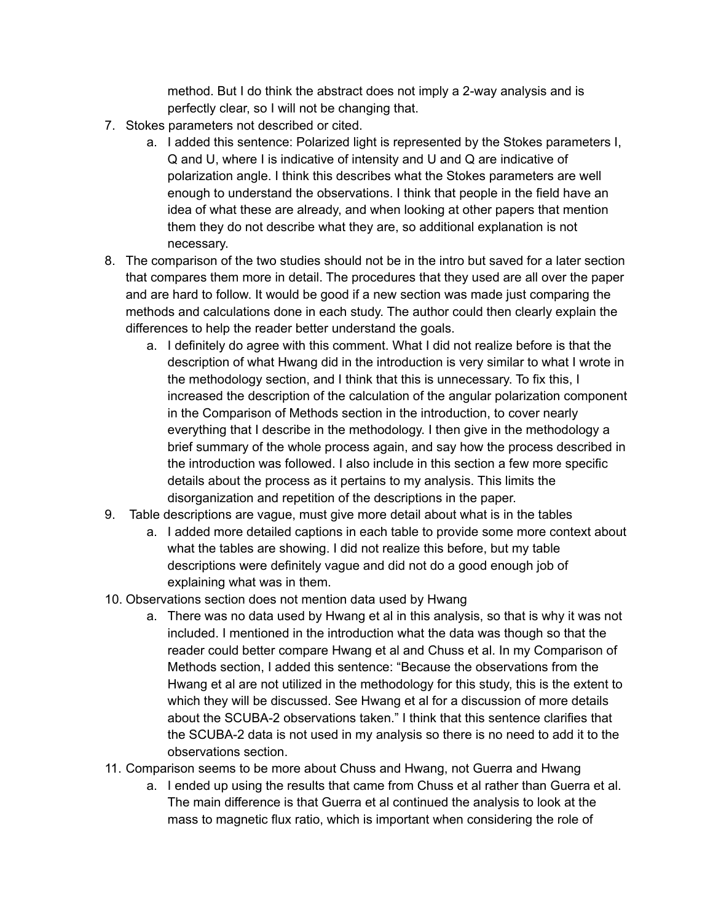method. But I do think the abstract does not imply a 2-way analysis and is perfectly clear, so I will not be changing that.

- 7. Stokes parameters not described or cited.
	- a. I added this sentence: Polarized light is represented by the Stokes parameters I, Q and U, where I is indicative of intensity and U and Q are indicative of polarization angle. I think this describes what the Stokes parameters are well enough to understand the observations. I think that people in the field have an idea of what these are already, and when looking at other papers that mention them they do not describe what they are, so additional explanation is not necessary.
- 8. The comparison of the two studies should not be in the intro but saved for a later section that compares them more in detail. The procedures that they used are all over the paper and are hard to follow. It would be good if a new section was made just comparing the methods and calculations done in each study. The author could then clearly explain the differences to help the reader better understand the goals.
	- a. I definitely do agree with this comment. What I did not realize before is that the description of what Hwang did in the introduction is very similar to what I wrote in the methodology section, and I think that this is unnecessary. To fix this, I increased the description of the calculation of the angular polarization component in the Comparison of Methods section in the introduction, to cover nearly everything that I describe in the methodology. I then give in the methodology a brief summary of the whole process again, and say how the process described in the introduction was followed. I also include in this section a few more specific details about the process as it pertains to my analysis. This limits the disorganization and repetition of the descriptions in the paper.
- 9. Table descriptions are vague, must give more detail about what is in the tables
	- a. I added more detailed captions in each table to provide some more context about what the tables are showing. I did not realize this before, but my table descriptions were definitely vague and did not do a good enough job of explaining what was in them.
- 10. Observations section does not mention data used by Hwang
	- a. There was no data used by Hwang et al in this analysis, so that is why it was not included. I mentioned in the introduction what the data was though so that the reader could better compare Hwang et al and Chuss et al. In my Comparison of Methods section, I added this sentence: "Because the observations from the Hwang et al are not utilized in the methodology for this study, this is the extent to which they will be discussed. See Hwang et al for a discussion of more details about the SCUBA-2 observations taken." I think that this sentence clarifies that the SCUBA-2 data is not used in my analysis so there is no need to add it to the observations section.
- 11. Comparison seems to be more about Chuss and Hwang, not Guerra and Hwang
	- a. I ended up using the results that came from Chuss et al rather than Guerra et al. The main difference is that Guerra et al continued the analysis to look at the mass to magnetic flux ratio, which is important when considering the role of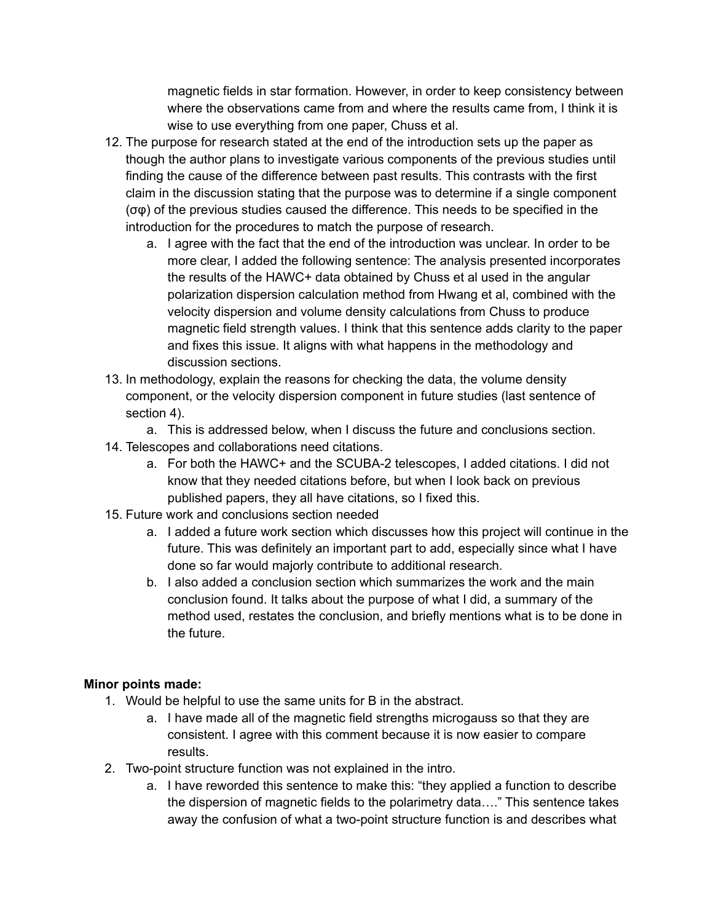magnetic fields in star formation. However, in order to keep consistency between where the observations came from and where the results came from, I think it is wise to use everything from one paper, Chuss et al.

- 12. The purpose for research stated at the end of the introduction sets up the paper as though the author plans to investigate various components of the previous studies until finding the cause of the difference between past results. This contrasts with the first claim in the discussion stating that the purpose was to determine if a single component (σφ) of the previous studies caused the difference. This needs to be specified in the introduction for the procedures to match the purpose of research.
	- a. I agree with the fact that the end of the introduction was unclear. In order to be more clear, I added the following sentence: The analysis presented incorporates the results of the HAWC+ data obtained by Chuss et al used in the angular polarization dispersion calculation method from Hwang et al, combined with the velocity dispersion and volume density calculations from Chuss to produce magnetic field strength values. I think that this sentence adds clarity to the paper and fixes this issue. It aligns with what happens in the methodology and discussion sections.
- 13. In methodology, explain the reasons for checking the data, the volume density component, or the velocity dispersion component in future studies (last sentence of section 4).
- a. This is addressed below, when I discuss the future and conclusions section. 14. Telescopes and collaborations need citations.
	- a. For both the HAWC+ and the SCUBA-2 telescopes, I added citations. I did not know that they needed citations before, but when I look back on previous published papers, they all have citations, so I fixed this.
- 15. Future work and conclusions section needed
	- a. I added a future work section which discusses how this project will continue in the future. This was definitely an important part to add, especially since what I have done so far would majorly contribute to additional research.
	- b. I also added a conclusion section which summarizes the work and the main conclusion found. It talks about the purpose of what I did, a summary of the method used, restates the conclusion, and briefly mentions what is to be done in the future.

## **Minor points made:**

- 1. Would be helpful to use the same units for B in the abstract.
	- a. I have made all of the magnetic field strengths microgauss so that they are consistent. I agree with this comment because it is now easier to compare results.
- 2. Two-point structure function was not explained in the intro.
	- a. I have reworded this sentence to make this: "they applied a function to describe the dispersion of magnetic fields to the polarimetry data…." This sentence takes away the confusion of what a two-point structure function is and describes what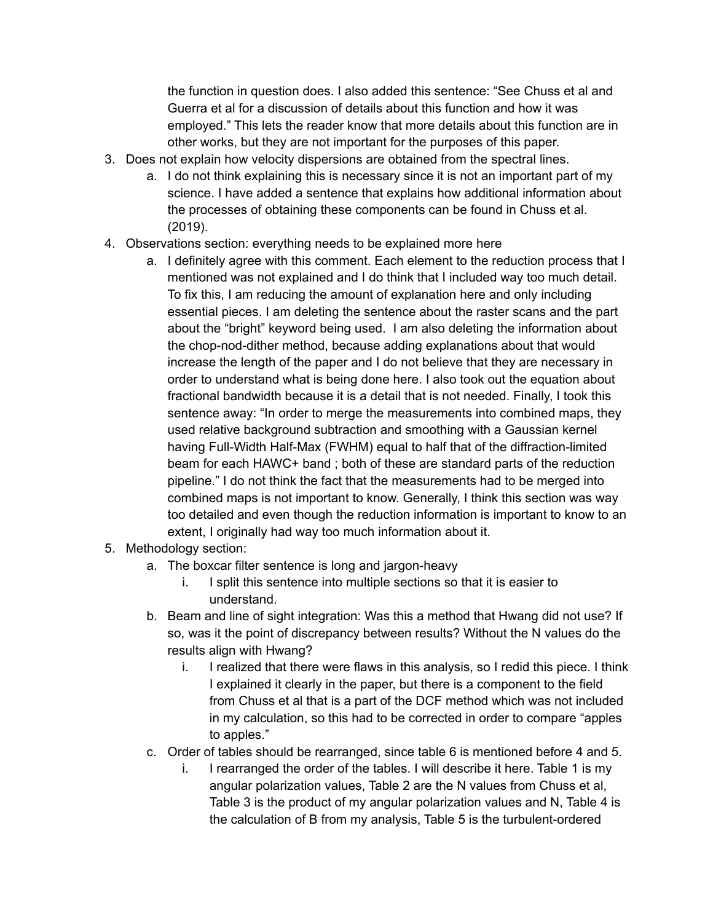the function in question does. I also added this sentence: "See Chuss et al and Guerra et al for a discussion of details about this function and how it was employed." This lets the reader know that more details about this function are in other works, but they are not important for the purposes of this paper.

- 3. Does not explain how velocity dispersions are obtained from the spectral lines.
	- a. I do not think explaining this is necessary since it is not an important part of my science. I have added a sentence that explains how additional information about the processes of obtaining these components can be found in Chuss et al. (2019).
- 4. Observations section: everything needs to be explained more here
	- a. I definitely agree with this comment. Each element to the reduction process that I mentioned was not explained and I do think that I included way too much detail. To fix this, I am reducing the amount of explanation here and only including essential pieces. I am deleting the sentence about the raster scans and the part about the "bright" keyword being used. I am also deleting the information about the chop-nod-dither method, because adding explanations about that would increase the length of the paper and I do not believe that they are necessary in order to understand what is being done here. I also took out the equation about fractional bandwidth because it is a detail that is not needed. Finally, I took this sentence away: "In order to merge the measurements into combined maps, they used relative background subtraction and smoothing with a Gaussian kernel having Full-Width Half-Max (FWHM) equal to half that of the diffraction-limited beam for each HAWC+ band ; both of these are standard parts of the reduction pipeline." I do not think the fact that the measurements had to be merged into combined maps is not important to know. Generally, I think this section was way too detailed and even though the reduction information is important to know to an extent, I originally had way too much information about it.
- 5. Methodology section:
	- a. The boxcar filter sentence is long and jargon-heavy
		- i. I split this sentence into multiple sections so that it is easier to understand.
	- b. Beam and line of sight integration: Was this a method that Hwang did not use? If so, was it the point of discrepancy between results? Without the N values do the results align with Hwang?
		- i. I realized that there were flaws in this analysis, so I redid this piece. I think I explained it clearly in the paper, but there is a component to the field from Chuss et al that is a part of the DCF method which was not included in my calculation, so this had to be corrected in order to compare "apples to apples."
	- c. Order of tables should be rearranged, since table 6 is mentioned before 4 and 5.
		- i. I rearranged the order of the tables. I will describe it here. Table 1 is my angular polarization values, Table 2 are the N values from Chuss et al, Table 3 is the product of my angular polarization values and N, Table 4 is the calculation of B from my analysis, Table 5 is the turbulent-ordered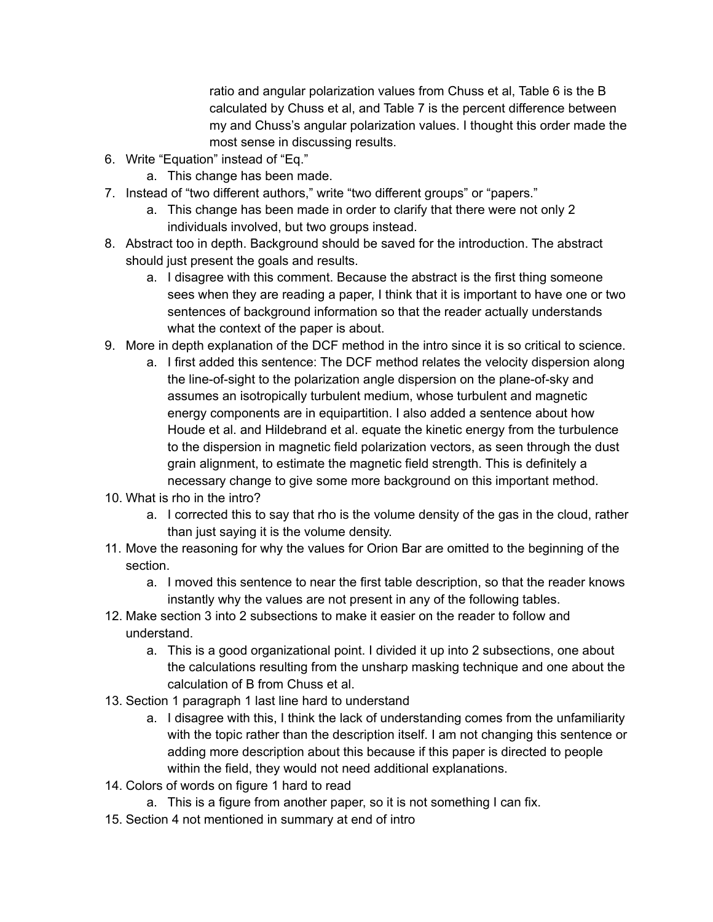ratio and angular polarization values from Chuss et al, Table 6 is the B calculated by Chuss et al, and Table 7 is the percent difference between my and Chuss's angular polarization values. I thought this order made the most sense in discussing results.

- 6. Write "Equation" instead of "Eq."
	- a. This change has been made.
- 7. Instead of "two different authors," write "two different groups" or "papers."
	- a. This change has been made in order to clarify that there were not only 2 individuals involved, but two groups instead.
- 8. Abstract too in depth. Background should be saved for the introduction. The abstract should just present the goals and results.
	- a. I disagree with this comment. Because the abstract is the first thing someone sees when they are reading a paper, I think that it is important to have one or two sentences of background information so that the reader actually understands what the context of the paper is about.
- 9. More in depth explanation of the DCF method in the intro since it is so critical to science.
	- a. I first added this sentence: The DCF method relates the velocity dispersion along the line-of-sight to the polarization angle dispersion on the plane-of-sky and assumes an isotropically turbulent medium, whose turbulent and magnetic energy components are in equipartition. I also added a sentence about how Houde et al. and Hildebrand et al. equate the kinetic energy from the turbulence to the dispersion in magnetic field polarization vectors, as seen through the dust grain alignment, to estimate the magnetic field strength. This is definitely a necessary change to give some more background on this important method.
- 10. What is rho in the intro?
	- a. I corrected this to say that rho is the volume density of the gas in the cloud, rather than just saying it is the volume density.
- 11. Move the reasoning for why the values for Orion Bar are omitted to the beginning of the section.
	- a. I moved this sentence to near the first table description, so that the reader knows instantly why the values are not present in any of the following tables.
- 12. Make section 3 into 2 subsections to make it easier on the reader to follow and understand.
	- a. This is a good organizational point. I divided it up into 2 subsections, one about the calculations resulting from the unsharp masking technique and one about the calculation of B from Chuss et al.
- 13. Section 1 paragraph 1 last line hard to understand
	- a. I disagree with this, I think the lack of understanding comes from the unfamiliarity with the topic rather than the description itself. I am not changing this sentence or adding more description about this because if this paper is directed to people within the field, they would not need additional explanations.
- 14. Colors of words on figure 1 hard to read
	- a. This is a figure from another paper, so it is not something I can fix.
- 15. Section 4 not mentioned in summary at end of intro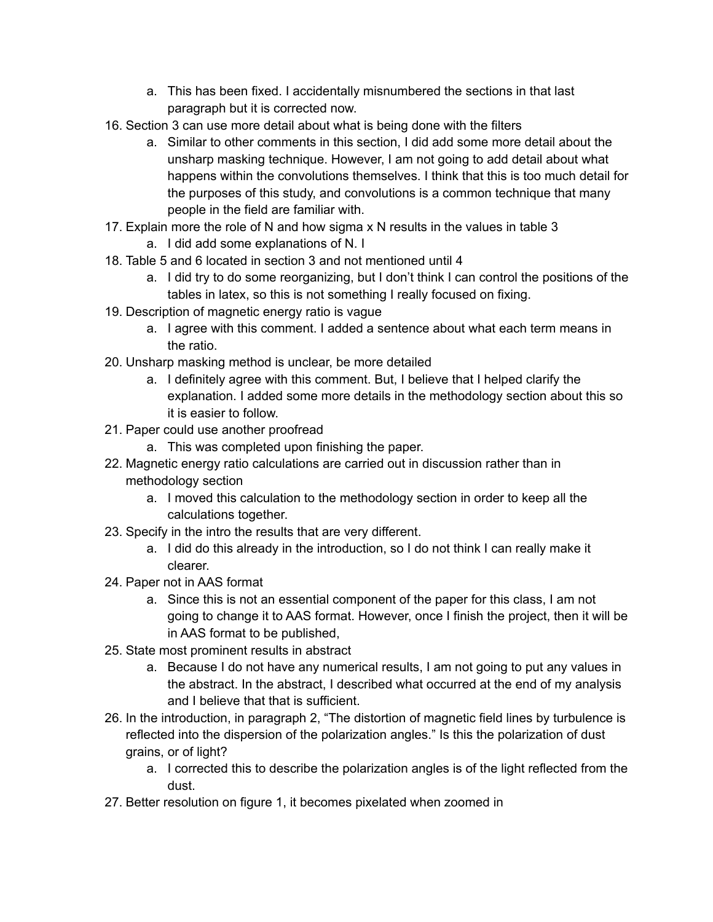- a. This has been fixed. I accidentally misnumbered the sections in that last paragraph but it is corrected now.
- 16. Section 3 can use more detail about what is being done with the filters
	- a. Similar to other comments in this section, I did add some more detail about the unsharp masking technique. However, I am not going to add detail about what happens within the convolutions themselves. I think that this is too much detail for the purposes of this study, and convolutions is a common technique that many people in the field are familiar with.
- 17. Explain more the role of N and how sigma x N results in the values in table 3
	- a. I did add some explanations of N. I
- 18. Table 5 and 6 located in section 3 and not mentioned until 4
	- a. I did try to do some reorganizing, but I don't think I can control the positions of the tables in latex, so this is not something I really focused on fixing.
- 19. Description of magnetic energy ratio is vague
	- a. I agree with this comment. I added a sentence about what each term means in the ratio.
- 20. Unsharp masking method is unclear, be more detailed
	- a. I definitely agree with this comment. But, I believe that I helped clarify the explanation. I added some more details in the methodology section about this so it is easier to follow.
- 21. Paper could use another proofread
	- a. This was completed upon finishing the paper.
- 22. Magnetic energy ratio calculations are carried out in discussion rather than in methodology section
	- a. I moved this calculation to the methodology section in order to keep all the calculations together.
- 23. Specify in the intro the results that are very different.
	- a. I did do this already in the introduction, so I do not think I can really make it clearer.
- 24. Paper not in AAS format
	- a. Since this is not an essential component of the paper for this class, I am not going to change it to AAS format. However, once I finish the project, then it will be in AAS format to be published,
- 25. State most prominent results in abstract
	- a. Because I do not have any numerical results, I am not going to put any values in the abstract. In the abstract, I described what occurred at the end of my analysis and I believe that that is sufficient.
- 26. In the introduction, in paragraph 2, "The distortion of magnetic field lines by turbulence is reflected into the dispersion of the polarization angles." Is this the polarization of dust grains, or of light?
	- a. I corrected this to describe the polarization angles is of the light reflected from the dust.
- 27. Better resolution on figure 1, it becomes pixelated when zoomed in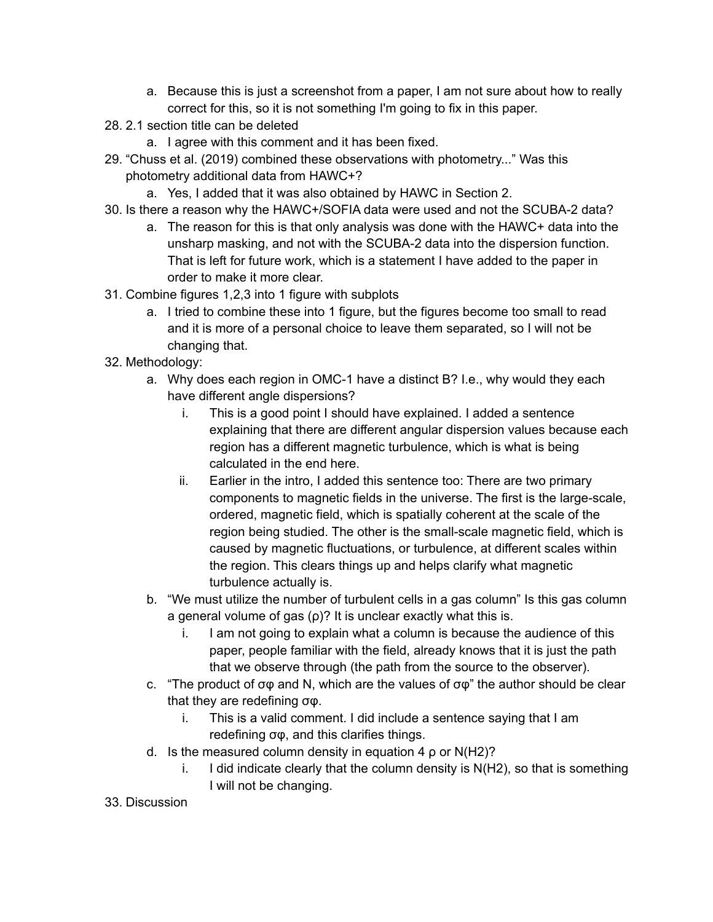- a. Because this is just a screenshot from a paper, I am not sure about how to really correct for this, so it is not something I'm going to fix in this paper.
- 28. 2.1 section title can be deleted
	- a. I agree with this comment and it has been fixed.
- 29. "Chuss et al. (2019) combined these observations with photometry..." Was this photometry additional data from HAWC+?
	- a. Yes, I added that it was also obtained by HAWC in Section 2.
- 30. Is there a reason why the HAWC+/SOFIA data were used and not the SCUBA-2 data?
	- a. The reason for this is that only analysis was done with the HAWC+ data into the unsharp masking, and not with the SCUBA-2 data into the dispersion function. That is left for future work, which is a statement I have added to the paper in order to make it more clear.
- 31. Combine figures 1,2,3 into 1 figure with subplots
	- a. I tried to combine these into 1 figure, but the figures become too small to read and it is more of a personal choice to leave them separated, so I will not be changing that.
- 32. Methodology:
	- a. Why does each region in OMC-1 have a distinct B? I.e., why would they each have different angle dispersions?
		- i. This is a good point I should have explained. I added a sentence explaining that there are different angular dispersion values because each region has a different magnetic turbulence, which is what is being calculated in the end here.
		- ii. Earlier in the intro, I added this sentence too: There are two primary components to magnetic fields in the universe. The first is the large-scale, ordered, magnetic field, which is spatially coherent at the scale of the region being studied. The other is the small-scale magnetic field, which is caused by magnetic fluctuations, or turbulence, at different scales within the region. This clears things up and helps clarify what magnetic turbulence actually is.
	- b. "We must utilize the number of turbulent cells in a gas column" Is this gas column a general volume of gas (ρ)? It is unclear exactly what this is.
		- i. I am not going to explain what a column is because the audience of this paper, people familiar with the field, already knows that it is just the path that we observe through (the path from the source to the observer).
	- c. "The product of  $\sigma\varphi$  and N, which are the values of  $\sigma\varphi$ " the author should be clear that they are redefining σφ.
		- i. This is a valid comment. I did include a sentence saying that I am redefining σφ, and this clarifies things.
	- d. Is the measured column density in equation 4 ρ or N(H2)?
		- i. I did indicate clearly that the column density is  $N(H2)$ , so that is something I will not be changing.
- 33. Discussion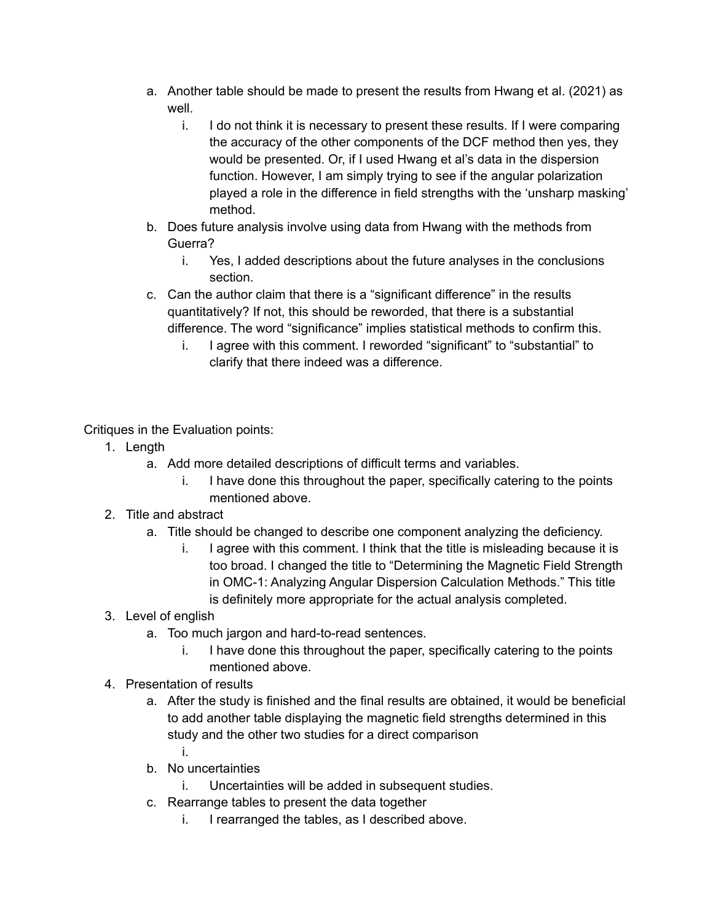- a. Another table should be made to present the results from Hwang et al. (2021) as well.
	- i. I do not think it is necessary to present these results. If I were comparing the accuracy of the other components of the DCF method then yes, they would be presented. Or, if I used Hwang et al's data in the dispersion function. However, I am simply trying to see if the angular polarization played a role in the difference in field strengths with the 'unsharp masking' method.
- b. Does future analysis involve using data from Hwang with the methods from Guerra?
	- i. Yes, I added descriptions about the future analyses in the conclusions section.
- c. Can the author claim that there is a "significant difference" in the results quantitatively? If not, this should be reworded, that there is a substantial difference. The word "significance" implies statistical methods to confirm this.
	- i. I agree with this comment. I reworded "significant" to "substantial" to clarify that there indeed was a difference.

Critiques in the Evaluation points:

- 1. Length
	- a. Add more detailed descriptions of difficult terms and variables.
		- i. I have done this throughout the paper, specifically catering to the points mentioned above.
- 2. Title and abstract
	- a. Title should be changed to describe one component analyzing the deficiency.
		- i. I agree with this comment. I think that the title is misleading because it is too broad. I changed the title to "Determining the Magnetic Field Strength in OMC-1: Analyzing Angular Dispersion Calculation Methods." This title is definitely more appropriate for the actual analysis completed.
- 3. Level of english
	- a. Too much jargon and hard-to-read sentences.
		- i. I have done this throughout the paper, specifically catering to the points mentioned above.
- 4. Presentation of results
	- a. After the study is finished and the final results are obtained, it would be beneficial to add another table displaying the magnetic field strengths determined in this study and the other two studies for a direct comparison i.
	- b. No uncertainties
		- i. Uncertainties will be added in subsequent studies.
	- c. Rearrange tables to present the data together
		- i. I rearranged the tables, as I described above.